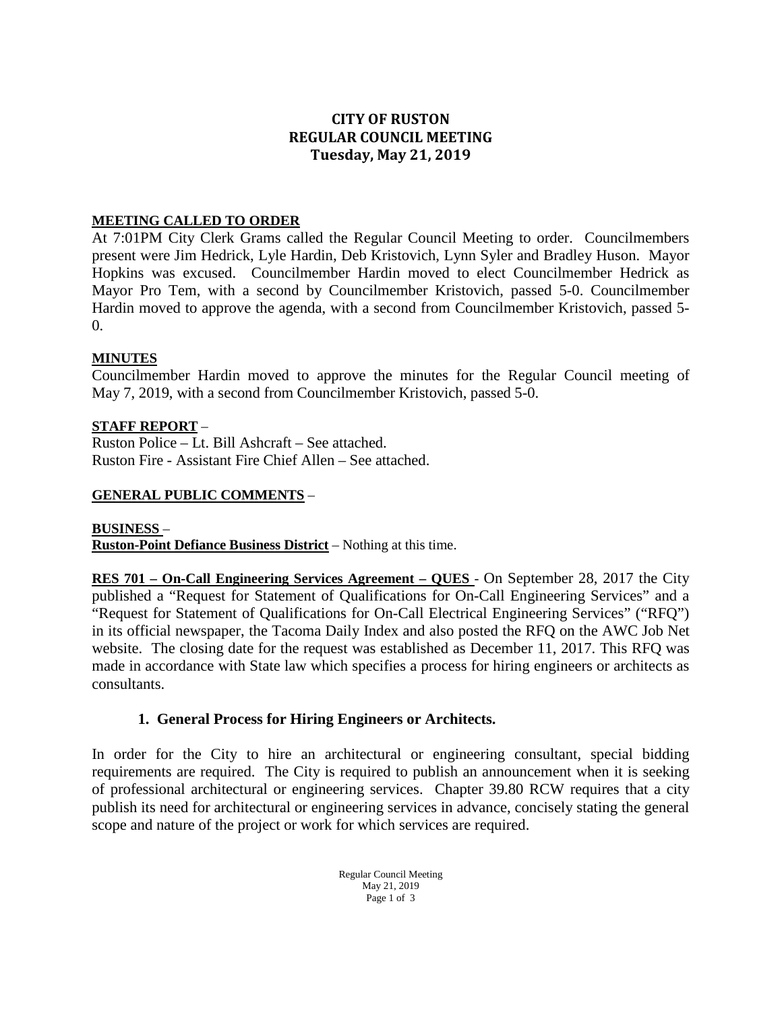# **CITY OF RUSTON REGULAR COUNCIL MEETING Tuesday, May 21, 2019**

#### **MEETING CALLED TO ORDER**

At 7:01PM City Clerk Grams called the Regular Council Meeting to order. Councilmembers present were Jim Hedrick, Lyle Hardin, Deb Kristovich, Lynn Syler and Bradley Huson. Mayor Hopkins was excused. Councilmember Hardin moved to elect Councilmember Hedrick as Mayor Pro Tem, with a second by Councilmember Kristovich, passed 5-0. Councilmember Hardin moved to approve the agenda, with a second from Councilmember Kristovich, passed 5-  $\Omega$ .

#### **MINUTES**

Councilmember Hardin moved to approve the minutes for the Regular Council meeting of May 7, 2019, with a second from Councilmember Kristovich, passed 5-0.

## **STAFF REPORT** –

Ruston Police – Lt. Bill Ashcraft – See attached. Ruston Fire - Assistant Fire Chief Allen – See attached.

## **GENERAL PUBLIC COMMENTS** –

#### **BUSINESS** –

**Ruston-Point Defiance Business District** – Nothing at this time.

**RES 701 – On-Call Engineering Services Agreement – QUES** - On September 28, 2017 the City published a "Request for Statement of Qualifications for On-Call Engineering Services" and a "Request for Statement of Qualifications for On-Call Electrical Engineering Services" ("RFQ") in its official newspaper, the Tacoma Daily Index and also posted the RFQ on the AWC Job Net website. The closing date for the request was established as December 11, 2017. This RFQ was made in accordance with State law which specifies a process for hiring engineers or architects as consultants.

#### **1. General Process for Hiring Engineers or Architects.**

In order for the City to hire an architectural or engineering consultant, special bidding requirements are required. The City is required to publish an announcement when it is seeking of professional architectural or engineering services. Chapter 39.80 RCW requires that a city publish its need for architectural or engineering services in advance, concisely stating the general scope and nature of the project or work for which services are required.

> Regular Council Meeting May 21, 2019 Page 1 of 3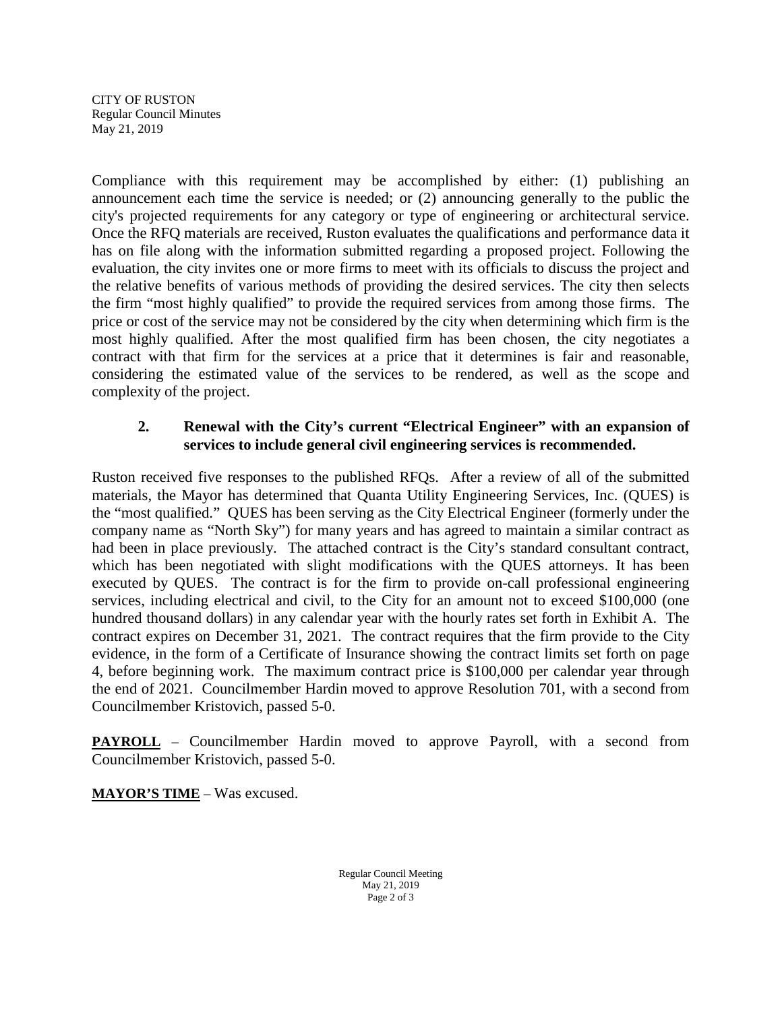CITY OF RUSTON Regular Council Minutes May 21, 2019

Compliance with this requirement may be accomplished by either: (1) publishing an announcement each time the service is needed; or (2) announcing generally to the public the city's projected requirements for any category or type of engineering or architectural service. Once the RFQ materials are received, Ruston evaluates the qualifications and performance data it has on file along with the information submitted regarding a proposed project. Following the evaluation, the city invites one or more firms to meet with its officials to discuss the project and the relative benefits of various methods of providing the desired services. The city then selects the firm "most highly qualified" to provide the required services from among those firms. The price or cost of the service may not be considered by the city when determining which firm is the most highly qualified. After the most qualified firm has been chosen, the city negotiates a contract with that firm for the services at a price that it determines is fair and reasonable, considering the estimated value of the services to be rendered, as well as the scope and complexity of the project.

# **2. Renewal with the City's current "Electrical Engineer" with an expansion of services to include general civil engineering services is recommended.**

Ruston received five responses to the published RFQs. After a review of all of the submitted materials, the Mayor has determined that Quanta Utility Engineering Services, Inc. (QUES) is the "most qualified." QUES has been serving as the City Electrical Engineer (formerly under the company name as "North Sky") for many years and has agreed to maintain a similar contract as had been in place previously. The attached contract is the City's standard consultant contract, which has been negotiated with slight modifications with the QUES attorneys. It has been executed by QUES. The contract is for the firm to provide on-call professional engineering services, including electrical and civil, to the City for an amount not to exceed \$100,000 (one hundred thousand dollars) in any calendar year with the hourly rates set forth in Exhibit A. The contract expires on December 31, 2021. The contract requires that the firm provide to the City evidence, in the form of a Certificate of Insurance showing the contract limits set forth on page 4, before beginning work. The maximum contract price is \$100,000 per calendar year through the end of 2021. Councilmember Hardin moved to approve Resolution 701, with a second from Councilmember Kristovich, passed 5-0.

**PAYROLL** – Councilmember Hardin moved to approve Payroll, with a second from Councilmember Kristovich, passed 5-0.

**MAYOR'S TIME** – Was excused.

Regular Council Meeting May 21, 2019 Page 2 of 3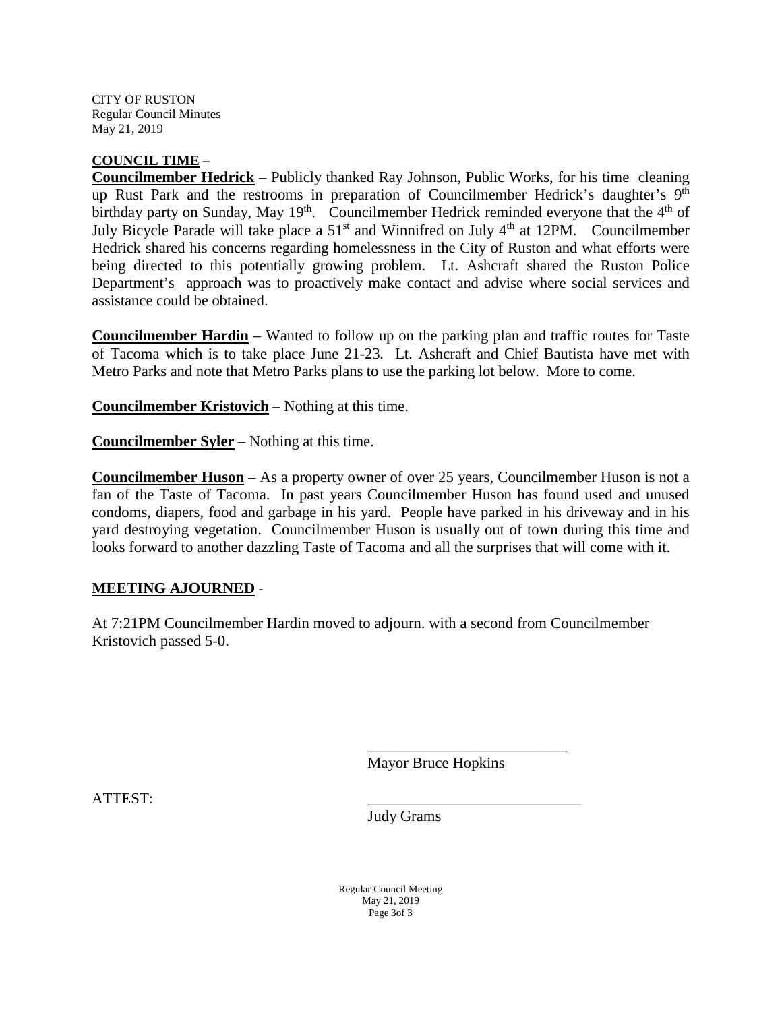CITY OF RUSTON Regular Council Minutes May 21, 2019

#### **COUNCIL TIME –**

**Councilmember Hedrick** – Publicly thanked Ray Johnson, Public Works, for his time cleaning up Rust Park and the restrooms in preparation of Councilmember Hedrick's daughter's 9<sup>th</sup> birthday party on Sunday, May 19<sup>th</sup>. Councilmember Hedrick reminded everyone that the  $4<sup>th</sup>$  of July Bicycle Parade will take place a 51<sup>st</sup> and Winnifred on July 4<sup>th</sup> at 12PM. Councilmember Hedrick shared his concerns regarding homelessness in the City of Ruston and what efforts were being directed to this potentially growing problem. Lt. Ashcraft shared the Ruston Police Department's approach was to proactively make contact and advise where social services and assistance could be obtained.

**Councilmember Hardin** – Wanted to follow up on the parking plan and traffic routes for Taste of Tacoma which is to take place June 21-23. Lt. Ashcraft and Chief Bautista have met with Metro Parks and note that Metro Parks plans to use the parking lot below. More to come.

**Councilmember Kristovich** – Nothing at this time.

**Councilmember Syler** – Nothing at this time.

**Councilmember Huson** – As a property owner of over 25 years, Councilmember Huson is not a fan of the Taste of Tacoma. In past years Councilmember Huson has found used and unused condoms, diapers, food and garbage in his yard. People have parked in his driveway and in his yard destroying vegetation. Councilmember Huson is usually out of town during this time and looks forward to another dazzling Taste of Tacoma and all the surprises that will come with it.

#### **MEETING AJOURNED** -

At 7:21PM Councilmember Hardin moved to adjourn. with a second from Councilmember Kristovich passed 5-0.

Mayor Bruce Hopkins

\_\_\_\_\_\_\_\_\_\_\_\_\_\_\_\_\_\_\_\_\_\_\_\_\_\_

ATTEST: \_\_\_\_\_\_\_\_\_\_\_\_\_\_\_\_\_\_\_\_\_\_\_\_\_\_\_\_

Judy Grams

Regular Council Meeting May 21, 2019 Page 3of 3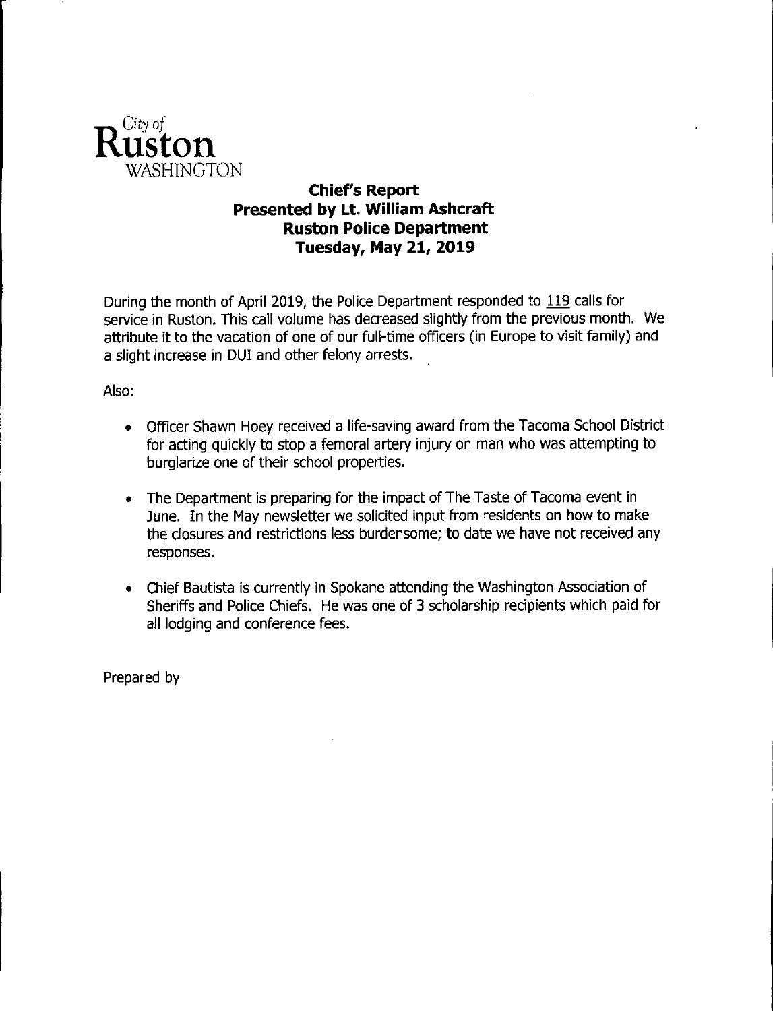

# **Chief's Report** Presented by Lt. William Ashcraft **Ruston Police Department Tuesday, May 21, 2019**

During the month of April 2019, the Police Department responded to 119 calls for service in Ruston. This call volume has decreased slightly from the previous month. We attribute it to the vacation of one of our full-time officers (in Europe to visit family) and a slight increase in DUI and other felony arrests.

## Also:

- Officer Shawn Hoey received a life-saving award from the Tacoma School District for acting quickly to stop a femoral artery injury on man who was attempting to burglarize one of their school properties.
- The Department is preparing for the impact of The Taste of Tacoma event in June. In the May newsletter we solicited input from residents on how to make the closures and restrictions less burdensome; to date we have not received any responses.
- Chief Bautista is currently in Spokane attending the Washington Association of Sheriffs and Police Chiefs. He was one of 3 scholarship recipients which paid for all lodging and conference fees.

Prepared by